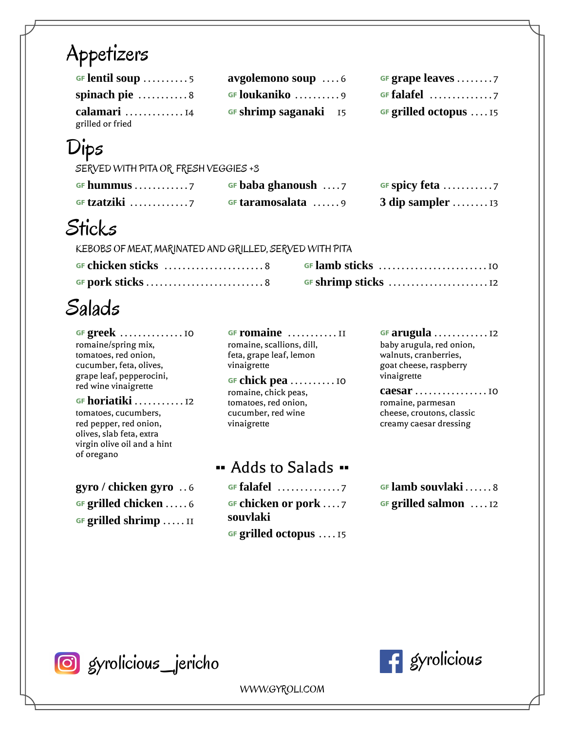#### Appetizers

| GF lentil soup 5     | avgolemono soup 6     | GF grape leaves                   |
|----------------------|-----------------------|-----------------------------------|
| spinach pie 8        | <b>GF loukaniko</b> 9 | GF falafel $\dots\dots\dots\dots$ |
| calamari $\ldots$ 14 | GF shrimp saganaki 15 | <b>GF grilled octopus</b> 15      |
| grilled or fried     |                       |                                   |

## Dips

SERVED WITH PITA OR FRESH VEGGIES +3

| GF hummus 7                               | GF baba ghanoush $\dots$ 7 |                                      |
|-------------------------------------------|----------------------------|--------------------------------------|
| GF tzatziki $\ldots \ldots \ldots \ldots$ | GF taramosalata 9          | 3 dip sampler $\dots \dots \dots$ 13 |

#### **Sticks**

KEBOBS OF MEAT, MARINATED AND GRILLED, SERVED WITH PITA

| GF chicken sticks 8 |  |
|---------------------|--|
|                     |  |

# Salads

… **greek** . . . . . . . . . . . . . . 10 romaine/spring mix, tomatoes, red onion, cucumber, feta, olives, grape leaf, pepperocini, red wine vinaigrette

… **horiatiki** . . . . . . . . . . . 12 tomatoes, cucumbers, red pepper, red onion, olives, slab feta, extra virgin olive oil and a hint of oregano

… **grilled shrimp** . . . . . 11

**GF romaine** ............II romaine, scallions, dill, feta, grape leaf, lemon vinaigrette

… **chick pea** . . . . . . . . . . 10 romaine, chick peas, tomatoes, red onion, cucumber, red wine vinaigrette

Adds to Salads

**gyro / chicken gyro** . . 6 **6 · GF** falafel . . . . . . . . . . . . . 7 **6 · GF** lamb souvlaki . . . . . 8 … **grilled chicken** . . . . . 6 … **chicken or pork** . . . . 7 **souvlaki** … **grilled octopus** . . . . 15

… **arugula** . . . . . . . . . . . . 12 baby arugula, red onion, walnuts, cranberries, goat cheese, raspberry vinaigrette

**caesar** . . . . . . . . . . . . . . . . 10 romaine, parmesan cheese, croutons, classic creamy caesar dressing

… **grilled salmon** . . . . 12

G gyrolicious jericho **G gyrolicious** 



WWW.GYROLI.COM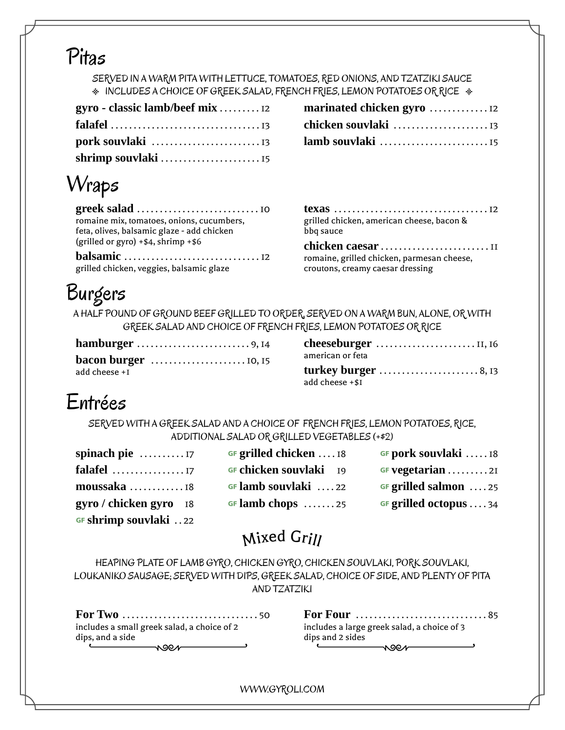#### Pitas

SERVED IN A WARM PITA WITH LETTUCE, TOMATOES, RED ONIONS, AND TZATZIKI SAUCE  $*$  INCLUDES A CHOICE OF GREEK SALAD, FRENCH FRIES, LEMON POTATOES OR RICE  $*$ 

| gyro - classic lamb/beef mix  12 |
|----------------------------------|
|                                  |
|                                  |
|                                  |

| Wraps |  |
|-------|--|
|-------|--|

| romaine mix, tomatoes, onions, cucumbers,  |
|--------------------------------------------|
| feta, olives, balsamic glaze - add chicken |
| (grilled or gyro) $+ $4$ , shrimp $+ $6$   |
|                                            |
| grilled chicken, veggies, balsamic glaze   |

| $\mathsf{false}1 \dots 13$ |  |
|----------------------------|--|
|                            |  |

| grilled chicken, american cheese, bacon &<br>bbg sauce |  |
|--------------------------------------------------------|--|
| chickon coosox                                         |  |

**chicken caesar** . . . . . . . . . . . . . . . . . . . . . . . . 11 romaine, grilled chicken, parmesan cheese, croutons, creamy caesar dressing

# Burgers

A HALF POUND OF GROUND BEEF GRILLED TO ORDER, SERVED ON A WARM BUN, ALONE, OR WITH GREEK SALAD AND CHOICE OF FRENCH FRIES, LEMON POTATOES OR RICE

|                                                                | cheeseburger     |
|----------------------------------------------------------------|------------------|
| <b>bacon burger</b> $\dots\dots\dots\dots\dots\dots\dots\dots$ | american or feta |
| add cheese +I                                                  | turkey burge     |

| <b>hamburger</b> 9, 14                                           |                     |
|------------------------------------------------------------------|---------------------|
| <b>bacon burger</b> $\dots\dots\dots\dots\dots\dots\dots$ 10, 15 | american or feta    |
| add cheese +1                                                    | turkey burger 8, 13 |
|                                                                  | add cheese +\$I     |

#### Entrées

SERVED WITH A GREEK SALAD AND A CHOICE OF FRENCH FRIES, LEMON POTATOES, RICE, ADDITIONAL SALAD OR GRILLED VEGETABLES (+\$2)

| spinach pie 17         |  |
|------------------------|--|
| falafel                |  |
| moussaka 18            |  |
| gyro / chicken gyro 18 |  |
| GF shrimp souvlaki 22  |  |

| GF grilled chicken  18 |  |
|------------------------|--|
| GF chicken souvlaki 19 |  |
| GF lamb souvlaki 22    |  |
| GF lamb chops 25       |  |

**sF pork souvlaki** .....18 **falafel** . . . . . . . . . . . . . . . . 17 … **chicken souvlaki** 19 … **vegetarian** . . . . . . . . . 21 **grilled salmon** ....25 **grilled octopus . . . . 34** 

### Mixed Grill

HEAPING PLATE OF LAMB GYRO, CHICKEN GYRO, CHICKEN SOUVLAKI, PORK SOUVLAKI, LOUKANIKO SAUSAGE; SERVED WITH DIPS, GREEK SALAD, CHOICE OF SIDE, AND PLENTY OF PITA AND TZATZIKI

| includes a small greek salad, a choice of 2 |
|---------------------------------------------|
| dips, and a side                            |
|                                             |

| includes a large greek salad, a choice of 3 |  |
|---------------------------------------------|--|
| dips and 2 sides                            |  |
|                                             |  |

WWW.GYROLI.COM